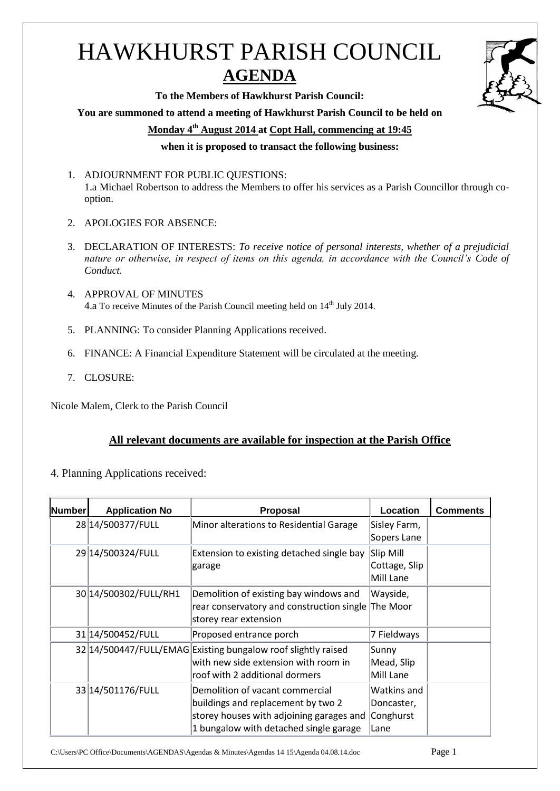## HAWKHURST PARISH COUNCIL **AGENDA**

**To the Members of Hawkhurst Parish Council:**

**You are summoned to attend a meeting of Hawkhurst Parish Council to be held on**

**Monday 4 th August 2014 at Copt Hall, commencing at 19:45**

**when it is proposed to transact the following business:**

- 1. ADJOURNMENT FOR PUBLIC QUESTIONS: 1.a Michael Robertson to address the Members to offer his services as a Parish Councillor through cooption.
- 2. APOLOGIES FOR ABSENCE:
- 3. DECLARATION OF INTERESTS: *To receive notice of personal interests, whether of a prejudicial nature or otherwise, in respect of items on this agenda, in accordance with the Council's Code of Conduct.*
- 4. APPROVAL OF MINUTES 4.a To receive Minutes of the Parish Council meeting held on 14<sup>th</sup> July 2014.
- 5. PLANNING: To consider Planning Applications received.
- 6. FINANCE: A Financial Expenditure Statement will be circulated at the meeting.
- 7. CLOSURE:

Nicole Malem, Clerk to the Parish Council

## **All relevant documents are available for inspection at the Parish Office**

4. Planning Applications received:

| <b>Number</b> | <b>Application No</b> | <b>Proposal</b>                                                                                                                                             | Location                                       | <b>Comments</b> |
|---------------|-----------------------|-------------------------------------------------------------------------------------------------------------------------------------------------------------|------------------------------------------------|-----------------|
|               | 28 14/500377/FULL     | Minor alterations to Residential Garage                                                                                                                     | Sisley Farm,<br>Sopers Lane                    |                 |
|               | 29 14/500324/FULL     | Extension to existing detached single bay<br>garage                                                                                                         | Slip Mill<br>Cottage, Slip<br>Mill Lane        |                 |
|               | 30 14/500302/FULL/RH1 | Demolition of existing bay windows and<br>rear conservatory and construction single<br>storey rear extension                                                | Wayside,<br>The Moor                           |                 |
|               | 31 14/500452/FULL     | Proposed entrance porch                                                                                                                                     | 7 Fieldways                                    |                 |
|               |                       | 32 14/500447/FULL/EMAG Existing bungalow roof slightly raised<br>with new side extension with room in<br>roof with 2 additional dormers                     | Sunny<br>Mead, Slip<br>Mill Lane               |                 |
|               | 33 14/501176/FULL     | Demolition of vacant commercial<br>buildings and replacement by two 2<br>storey houses with adjoining garages and<br>1 bungalow with detached single garage | Watkins and<br>Doncaster,<br>Conghurst<br>Lane |                 |